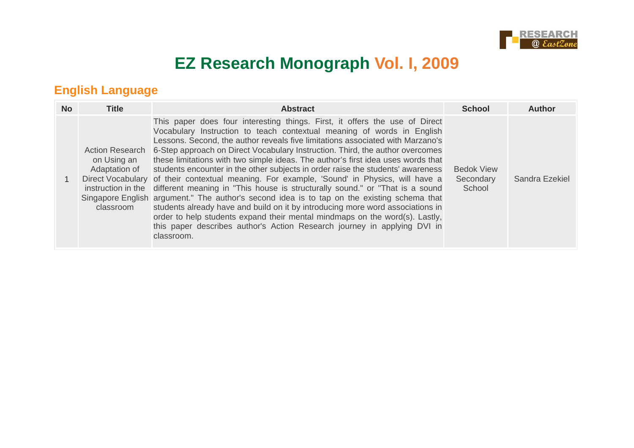

# **EZ Research Monograph Vol. I, 2009**

## **English Language**

| <b>No</b> | <b>Title</b>                                                                              | <b>Abstract</b>                                                                                                                                                                                                                                                                                                                                                                                                                                                                                                                                                                                                                                                                                                                                                                                                                                                                                                                                                                                                                          | <b>School</b>                            | Author         |
|-----------|-------------------------------------------------------------------------------------------|------------------------------------------------------------------------------------------------------------------------------------------------------------------------------------------------------------------------------------------------------------------------------------------------------------------------------------------------------------------------------------------------------------------------------------------------------------------------------------------------------------------------------------------------------------------------------------------------------------------------------------------------------------------------------------------------------------------------------------------------------------------------------------------------------------------------------------------------------------------------------------------------------------------------------------------------------------------------------------------------------------------------------------------|------------------------------------------|----------------|
|           | <b>Action Research</b><br>on Using an<br>Adaptation of<br>instruction in the<br>classroom | This paper does four interesting things. First, it offers the use of Direct<br>Vocabulary Instruction to teach contextual meaning of words in English<br>Lessons. Second, the author reveals five limitations associated with Marzano's<br>6-Step approach on Direct Vocabulary Instruction. Third, the author overcomes<br>these limitations with two simple ideas. The author's first idea uses words that<br>students encounter in the other subjects in order raise the students' awareness<br>Direct Vocabulary of their contextual meaning. For example, 'Sound' in Physics, will have a<br>different meaning in "This house is structurally sound." or "That is a sound<br>Singapore English argument." The author's second idea is to tap on the existing schema that<br>students already have and build on it by introducing more word associations in<br>order to help students expand their mental mindmaps on the word(s). Lastly,<br>this paper describes author's Action Research journey in applying DVI in<br>classroom. | <b>Bedok View</b><br>Secondary<br>School | Sandra Ezekiel |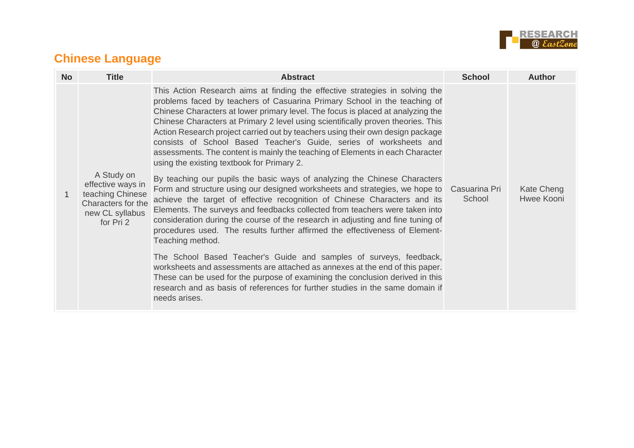

## **Chinese Language**

| <b>No</b> | <b>Title</b>                                                                                              | <b>Abstract</b>                                                                                                                                                                                                                                                                                                                                                                                                                                                                                                                                                                                                         | <b>School</b>           | <b>Author</b>            |
|-----------|-----------------------------------------------------------------------------------------------------------|-------------------------------------------------------------------------------------------------------------------------------------------------------------------------------------------------------------------------------------------------------------------------------------------------------------------------------------------------------------------------------------------------------------------------------------------------------------------------------------------------------------------------------------------------------------------------------------------------------------------------|-------------------------|--------------------------|
|           |                                                                                                           | This Action Research aims at finding the effective strategies in solving the<br>problems faced by teachers of Casuarina Primary School in the teaching of<br>Chinese Characters at lower primary level. The focus is placed at analyzing the<br>Chinese Characters at Primary 2 level using scientifically proven theories. This<br>Action Research project carried out by teachers using their own design package<br>consists of School Based Teacher's Guide, series of worksheets and<br>assessments. The content is mainly the teaching of Elements in each Character<br>using the existing textbook for Primary 2. |                         |                          |
| 1         | A Study on<br>effective ways in<br>teaching Chinese<br>Characters for the<br>new CL syllabus<br>for Pri 2 | By teaching our pupils the basic ways of analyzing the Chinese Characters<br>Form and structure using our designed worksheets and strategies, we hope to<br>achieve the target of effective recognition of Chinese Characters and its<br>Elements. The surveys and feedbacks collected from teachers were taken into<br>consideration during the course of the research in adjusting and fine tuning of<br>procedures used. The results further affirmed the effectiveness of Element-<br>Teaching method.                                                                                                              | Casuarina Pri<br>School | Kate Cheng<br>Hwee Kooni |
|           |                                                                                                           | The School Based Teacher's Guide and samples of surveys, feedback,<br>worksheets and assessments are attached as annexes at the end of this paper.<br>These can be used for the purpose of examining the conclusion derived in this<br>research and as basis of references for further studies in the same domain if<br>needs arises.                                                                                                                                                                                                                                                                                   |                         |                          |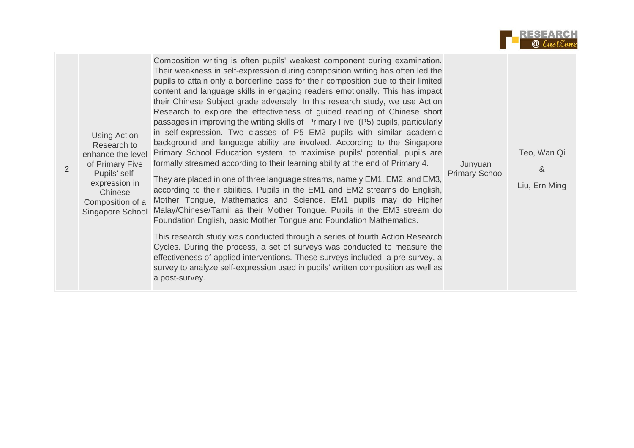

| <b>Using Action</b><br>Research to<br>enhance the level<br>of Primary Five<br>2<br>Pupils' self-<br>expression in<br>Chinese<br>Composition of a<br>Singapore School | Composition writing is often pupils' weakest component during examination.<br>Their weakness in self-expression during composition writing has often led the<br>pupils to attain only a borderline pass for their composition due to their limited<br>content and language skills in engaging readers emotionally. This has impact<br>their Chinese Subject grade adversely. In this research study, we use Action<br>Research to explore the effectiveness of guided reading of Chinese short<br>passages in improving the writing skills of Primary Five (P5) pupils, particularly<br>in self-expression. Two classes of P5 EM2 pupils with similar academic<br>background and language ability are involved. According to the Singapore<br>Primary School Education system, to maximise pupils' potential, pupils are<br>formally streamed according to their learning ability at the end of Primary 4.<br>They are placed in one of three language streams, namely EM1, EM2, and EM3,<br>according to their abilities. Pupils in the EM1 and EM2 streams do English,<br>Mother Tongue, Mathematics and Science. EM1 pupils may do Higher<br>Malay/Chinese/Tamil as their Mother Tongue. Pupils in the EM3 stream do<br>Foundation English, basic Mother Tongue and Foundation Mathematics.<br>This research study was conducted through a series of fourth Action Research<br>Cycles. During the process, a set of surveys was conducted to measure the<br>effectiveness of applied interventions. These surveys included, a pre-survey, a<br>survey to analyze self-expression used in pupils' written composition as well as<br>a post-survey. | Junyuan<br><b>Primary School</b> | Teo, Wan Qi<br>&<br>Liu, Ern Ming |
|----------------------------------------------------------------------------------------------------------------------------------------------------------------------|------------------------------------------------------------------------------------------------------------------------------------------------------------------------------------------------------------------------------------------------------------------------------------------------------------------------------------------------------------------------------------------------------------------------------------------------------------------------------------------------------------------------------------------------------------------------------------------------------------------------------------------------------------------------------------------------------------------------------------------------------------------------------------------------------------------------------------------------------------------------------------------------------------------------------------------------------------------------------------------------------------------------------------------------------------------------------------------------------------------------------------------------------------------------------------------------------------------------------------------------------------------------------------------------------------------------------------------------------------------------------------------------------------------------------------------------------------------------------------------------------------------------------------------------------------------------------------------------------------------------------------------------------|----------------------------------|-----------------------------------|
|----------------------------------------------------------------------------------------------------------------------------------------------------------------------|------------------------------------------------------------------------------------------------------------------------------------------------------------------------------------------------------------------------------------------------------------------------------------------------------------------------------------------------------------------------------------------------------------------------------------------------------------------------------------------------------------------------------------------------------------------------------------------------------------------------------------------------------------------------------------------------------------------------------------------------------------------------------------------------------------------------------------------------------------------------------------------------------------------------------------------------------------------------------------------------------------------------------------------------------------------------------------------------------------------------------------------------------------------------------------------------------------------------------------------------------------------------------------------------------------------------------------------------------------------------------------------------------------------------------------------------------------------------------------------------------------------------------------------------------------------------------------------------------------------------------------------------------|----------------------------------|-----------------------------------|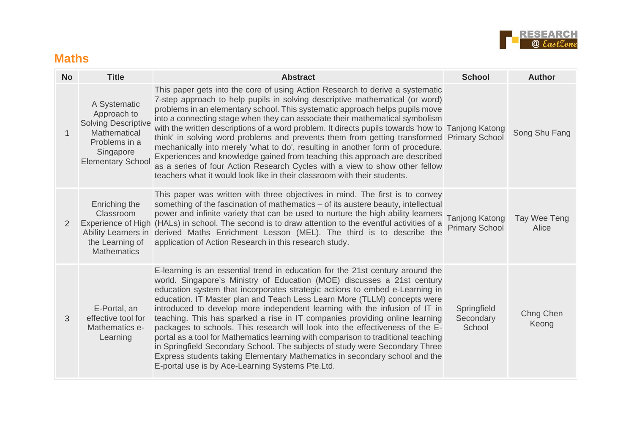

#### **Maths**

| <b>No</b>   | <b>Title</b>                                                                                                                        | <b>Abstract</b>                                                                                                                                                                                                                                                                                                                                                                                                                                                                                                                                                                                                                                                                                                                                                                                                                                                         | <b>School</b>                           | <b>Author</b>         |
|-------------|-------------------------------------------------------------------------------------------------------------------------------------|-------------------------------------------------------------------------------------------------------------------------------------------------------------------------------------------------------------------------------------------------------------------------------------------------------------------------------------------------------------------------------------------------------------------------------------------------------------------------------------------------------------------------------------------------------------------------------------------------------------------------------------------------------------------------------------------------------------------------------------------------------------------------------------------------------------------------------------------------------------------------|-----------------------------------------|-----------------------|
| $\mathbf 1$ | A Systematic<br>Approach to<br><b>Solving Descriptive</b><br>Mathematical<br>Problems in a<br>Singapore<br><b>Elementary School</b> | This paper gets into the core of using Action Research to derive a systematic<br>7-step approach to help pupils in solving descriptive mathematical (or word)<br>problems in an elementary school. This systematic approach helps pupils move<br>into a connecting stage when they can associate their mathematical symbolism<br>with the written descriptions of a word problem. It directs pupils towards 'how to Tanjong Katong<br>think' in solving word problems and prevents them from getting transformed Primary School<br>mechanically into merely 'what to do', resulting in another form of procedure.<br>Experiences and knowledge gained from teaching this approach are described<br>as a series of four Action Research Cycles with a view to show other fellow<br>teachers what it would look like in their classroom with their students.              |                                         | Song Shu Fang         |
| 2           | Enriching the<br>Classroom<br>the Learning of<br><b>Mathematics</b>                                                                 | This paper was written with three objectives in mind. The first is to convey<br>something of the fascination of mathematics – of its austere beauty, intellectual<br>power and infinite variety that can be used to nurture the high ability learners<br>Experience of High (HALs) in school. The second is to draw attention to the eventful activities of a<br>Ability Learners in derived Maths Enrichment Lesson (MEL). The third is to describe the<br>application of Action Research in this research study.                                                                                                                                                                                                                                                                                                                                                      | Tanjong Katong<br><b>Primary School</b> | Tay Wee Teng<br>Alice |
| 3           | E-Portal, an<br>effective tool for<br>Mathematics e-<br>Learning                                                                    | E-learning is an essential trend in education for the 21st century around the<br>world. Singapore's Ministry of Education (MOE) discusses a 21st century<br>education system that incorporates strategic actions to embed e-Learning in<br>education. IT Master plan and Teach Less Learn More (TLLM) concepts were<br>introduced to develop more independent learning with the infusion of IT in<br>teaching. This has sparked a rise in IT companies providing online learning<br>packages to schools. This research will look into the effectiveness of the E-<br>portal as a tool for Mathematics learning with comparison to traditional teaching<br>in Springfield Secondary School. The subjects of study were Secondary Three<br>Express students taking Elementary Mathematics in secondary school and the<br>E-portal use is by Ace-Learning Systems Pte.Ltd. | Springfield<br>Secondary<br>School      | Chng Chen<br>Keong    |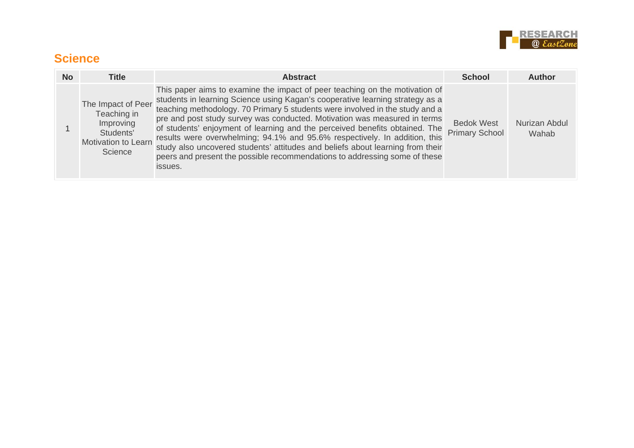

#### **Science**

| No. | <b>Title</b>                                                                                         | <b>Abstract</b>                                                                                                                                                                                                                                                                                                                                                                                                                                                                                                                                                                                                                                                   | <b>School</b>                              | Author                 |
|-----|------------------------------------------------------------------------------------------------------|-------------------------------------------------------------------------------------------------------------------------------------------------------------------------------------------------------------------------------------------------------------------------------------------------------------------------------------------------------------------------------------------------------------------------------------------------------------------------------------------------------------------------------------------------------------------------------------------------------------------------------------------------------------------|--------------------------------------------|------------------------|
|     | The Impact of Peer<br>Teaching in<br>Improving<br>Students'<br><b>Motivation to Learn</b><br>Science | This paper aims to examine the impact of peer teaching on the motivation of<br>students in learning Science using Kagan's cooperative learning strategy as a<br>teaching methodology. 70 Primary 5 students were involved in the study and a<br>pre and post study survey was conducted. Motivation was measured in terms<br>of students' enjoyment of learning and the perceived benefits obtained. The<br>results were overwhelming; 94.1% and 95.6% respectively. In addition, this<br>study also uncovered students' attitudes and beliefs about learning from their<br>peers and present the possible recommendations to addressing some of these<br>issues. | <b>Bedok West</b><br><b>Primary School</b> | Nurizan Abdul<br>Wahab |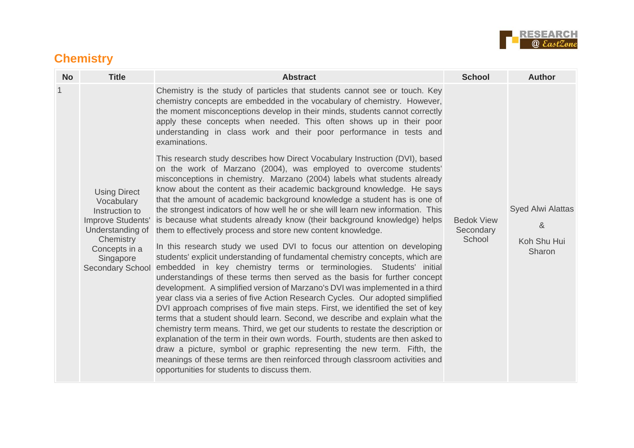

## **Chemistry**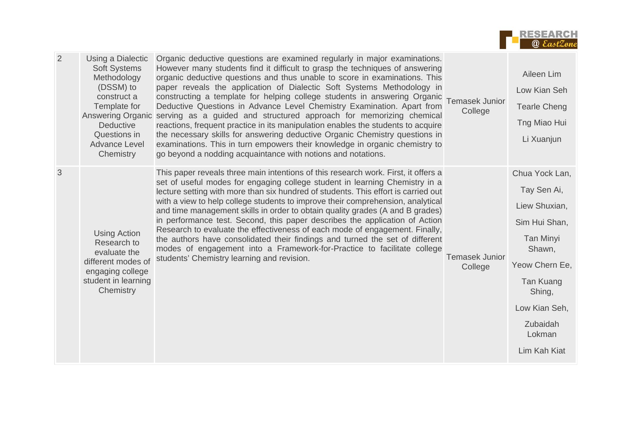

| 2 | Using a Dialectic<br><b>Soft Systems</b><br>Methodology<br>(DSSM) to<br>construct a<br>Template for<br><b>Answering Organic</b><br><b>Deductive</b><br>Questions in<br><b>Advance Level</b><br>Chemistry | Organic deductive questions are examined regularly in major examinations.<br>However many students find it difficult to grasp the techniques of answering<br>organic deductive questions and thus unable to score in examinations. This<br>paper reveals the application of Dialectic Soft Systems Methodology in<br>constructing a template for helping college students in answering Organic<br>Deductive Questions in Advance Level Chemistry Examination. Apart from<br>serving as a guided and structured approach for memorizing chemical<br>reactions, frequent practice in its manipulation enables the students to acquire<br>the necessary skills for answering deductive Organic Chemistry questions in<br>examinations. This in turn empowers their knowledge in organic chemistry to<br>go beyond a nodding acquaintance with notions and notations. | <b>Temasek Junior</b><br>College | Aileen Lim<br>Low Kian Seh<br><b>Tearle Cheng</b><br>Tng Miao Hui<br>Li Xuanjun                                                                                                               |
|---|----------------------------------------------------------------------------------------------------------------------------------------------------------------------------------------------------------|-------------------------------------------------------------------------------------------------------------------------------------------------------------------------------------------------------------------------------------------------------------------------------------------------------------------------------------------------------------------------------------------------------------------------------------------------------------------------------------------------------------------------------------------------------------------------------------------------------------------------------------------------------------------------------------------------------------------------------------------------------------------------------------------------------------------------------------------------------------------|----------------------------------|-----------------------------------------------------------------------------------------------------------------------------------------------------------------------------------------------|
| 3 | <b>Using Action</b><br>Research to<br>evaluate the<br>different modes of<br>engaging college<br>student in learning<br>Chemistry                                                                         | This paper reveals three main intentions of this research work. First, it offers a<br>set of useful modes for engaging college student in learning Chemistry in a<br>lecture setting with more than six hundred of students. This effort is carried out<br>with a view to help college students to improve their comprehension, analytical<br>and time management skills in order to obtain quality grades (A and B grades)<br>in performance test. Second, this paper describes the application of Action<br>Research to evaluate the effectiveness of each mode of engagement. Finally,<br>the authors have consolidated their findings and turned the set of different<br>modes of engagement into a Framework-for-Practice to facilitate college<br>students' Chemistry learning and revision.                                                                | <b>Temasek Junior</b><br>College | Chua Yock Lan,<br>Tay Sen Ai,<br>Liew Shuxian,<br>Sim Hui Shan,<br><b>Tan Minyi</b><br>Shawn,<br>Yeow Chern Ee,<br>Tan Kuang<br>Shing,<br>Low Kian Seh,<br>Zubaidah<br>Lokman<br>Lim Kah Kiat |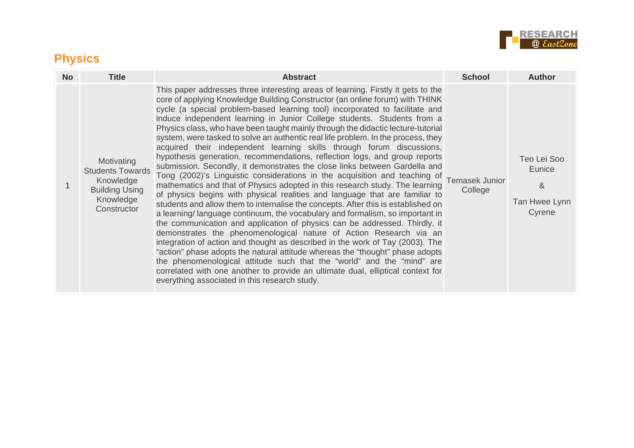

## **Physics**

| <b>No</b> | <b>Title</b>                                                                                            | <b>Abstract</b>                                                                                                                                                                                                                                                                                                                                                                                                                                                                                                                                                                                                                                                                                                                                                                                                                                                                                                                                                                                                                                                                                                                                                                                                                                                                                                                                                                                                                                                                                                                                                                                                                                                                                 | <b>School</b>                    | <b>Author</b>                                         |
|-----------|---------------------------------------------------------------------------------------------------------|-------------------------------------------------------------------------------------------------------------------------------------------------------------------------------------------------------------------------------------------------------------------------------------------------------------------------------------------------------------------------------------------------------------------------------------------------------------------------------------------------------------------------------------------------------------------------------------------------------------------------------------------------------------------------------------------------------------------------------------------------------------------------------------------------------------------------------------------------------------------------------------------------------------------------------------------------------------------------------------------------------------------------------------------------------------------------------------------------------------------------------------------------------------------------------------------------------------------------------------------------------------------------------------------------------------------------------------------------------------------------------------------------------------------------------------------------------------------------------------------------------------------------------------------------------------------------------------------------------------------------------------------------------------------------------------------------|----------------------------------|-------------------------------------------------------|
|           | Motivating<br><b>Students Towards</b><br>Knowledge<br><b>Building Using</b><br>Knowledge<br>Constructor | This paper addresses three interesting areas of learning. Firstly it gets to the<br>core of applying Knowledge Building Constructor (an online forum) with THINK<br>cycle (a special problem-based learning tool) incorporated to facilitate and<br>induce independent learning in Junior College students. Students from a<br>Physics class, who have been taught mainly through the didactic lecture-tutorial<br>system, were tasked to solve an authentic real life problem. In the process, they<br>acquired their independent learning skills through forum discussions,<br>hypothesis generation, recommendations, reflection logs, and group reports<br>submission. Secondly, it demonstrates the close links between Gardella and<br>Tong (2002)'s Linguistic considerations in the acquisition and teaching of<br>mathematics and that of Physics adopted in this research study. The learning<br>of physics begins with physical realities and language that are familiar to<br>students and allow them to internalise the concepts. After this is established on<br>a learning/language continuum, the vocabulary and formalism, so important in<br>the communication and application of physics can be addressed. Thirdly, it<br>demonstrates the phenomenological nature of Action Research via an<br>integration of action and thought as described in the work of Tay (2003). The<br>"action" phase adopts the natural attitude whereas the "thought" phase adopts<br>the phenomenological attitude such that the "world" and the "mind" are<br>correlated with one another to provide an ultimate dual, elliptical context for<br>everything associated in this research study. | <b>Temasek Junior</b><br>College | Teo Lei Soo<br>Eunice<br>&<br>Tan Hwee Lynn<br>Cyrene |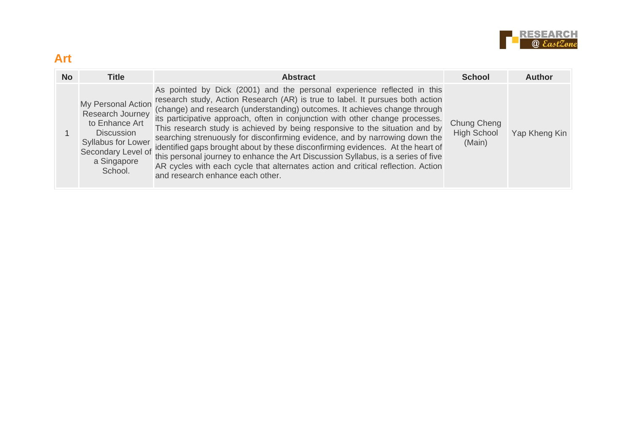

#### **Art**

| <b>No</b> | <b>Title</b>                                                                                                                                        | <b>Abstract</b>                                                                                                                                                                                                                                                                                                                                                                                                                                                                                                                                                                                                                                                                                                                                                                       | <b>School</b>                               | <b>Author</b> |
|-----------|-----------------------------------------------------------------------------------------------------------------------------------------------------|---------------------------------------------------------------------------------------------------------------------------------------------------------------------------------------------------------------------------------------------------------------------------------------------------------------------------------------------------------------------------------------------------------------------------------------------------------------------------------------------------------------------------------------------------------------------------------------------------------------------------------------------------------------------------------------------------------------------------------------------------------------------------------------|---------------------------------------------|---------------|
|           | My Personal Action<br>Research Journey<br>to Enhance Art<br><b>Discussion</b><br>Syllabus for Lower<br>Secondary Level of<br>a Singapore<br>School. | As pointed by Dick (2001) and the personal experience reflected in this<br>research study, Action Research (AR) is true to label. It pursues both action<br>(change) and research (understanding) outcomes. It achieves change through<br>its participative approach, often in conjunction with other change processes.<br>This research study is achieved by being responsive to the situation and by<br>searching strenuously for disconfirming evidence, and by narrowing down the<br>identified gaps brought about by these disconfirming evidences. At the heart of<br>this personal journey to enhance the Art Discussion Syllabus, is a series of five<br>AR cycles with each cycle that alternates action and critical reflection. Action<br>and research enhance each other. | Chung Cheng<br><b>High School</b><br>(Main) | Yap Kheng Kin |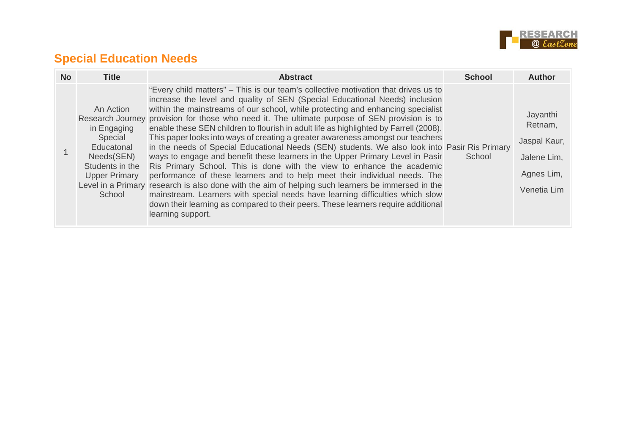

## **Special Education Needs**

| <b>No</b> | Title                                                                                                                | <b>Abstract</b>                                                                                                                                                                                                                                                                                                                                                                                                                                                                                                                                                                                                                                                                                                                                                                                                                                                                                                                                                                                                                                                                                                                                                             | <b>School</b> | Author                                                                          |
|-----------|----------------------------------------------------------------------------------------------------------------------|-----------------------------------------------------------------------------------------------------------------------------------------------------------------------------------------------------------------------------------------------------------------------------------------------------------------------------------------------------------------------------------------------------------------------------------------------------------------------------------------------------------------------------------------------------------------------------------------------------------------------------------------------------------------------------------------------------------------------------------------------------------------------------------------------------------------------------------------------------------------------------------------------------------------------------------------------------------------------------------------------------------------------------------------------------------------------------------------------------------------------------------------------------------------------------|---------------|---------------------------------------------------------------------------------|
|           | An Action<br>in Engaging<br>Special<br>Educatonal<br>Needs(SEN)<br>Students in the<br><b>Upper Primary</b><br>School | "Every child matters" – This is our team's collective motivation that drives us to<br>increase the level and quality of SEN (Special Educational Needs) inclusion<br>within the mainstreams of our school, while protecting and enhancing specialist<br>Research Journey provision for those who need it. The ultimate purpose of SEN provision is to<br>enable these SEN children to flourish in adult life as highlighted by Farrell (2008).<br>This paper looks into ways of creating a greater awareness amongst our teachers<br>in the needs of Special Educational Needs (SEN) students. We also look into Pasir Ris Primary<br>ways to engage and benefit these learners in the Upper Primary Level in Pasir<br>Ris Primary School. This is done with the view to enhance the academic<br>performance of these learners and to help meet their individual needs. The<br>Level in a Primary research is also done with the aim of helping such learners be immersed in the<br>mainstream. Learners with special needs have learning difficulties which slow<br>down their learning as compared to their peers. These learners require additional<br>learning support. | School        | Jayanthi<br>Retnam,<br>Jaspal Kaur,<br>Jalene Lim,<br>Agnes Lim,<br>Venetia Lim |